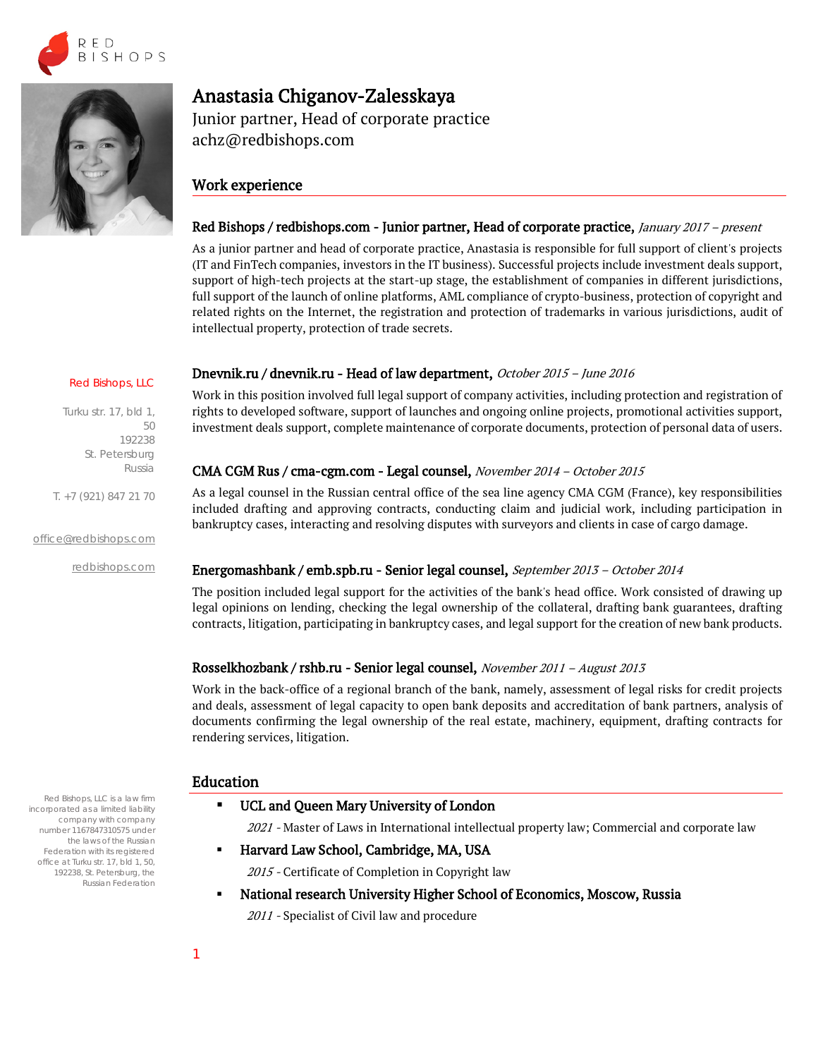



# Anastasia Chiganov-Zalesskaya

Junior partner, Head of corporate practice achz@redbishops.com

# Work experience

# Red Bishops / redbishops.com - Junior partner, Head of corporate practice, January 2017 – present

As a junior partner and head of corporate practice, Anastasia is responsible for full support of client's projects (IT and FinTech companies, investors in the IT business). Successful projects include investment deals support, support of high-tech projects at the start-up stage, the establishment of companies in different jurisdictions, full support of the launch of online platforms, АML compliance of crypto-business, protection of copyright and related rights on the Internet, the registration and protection of trademarks in various jurisdictions, audit of intellectual property, protection of trade secrets.

### Dnevnik.ru / dnevnik.ru - Head of law department, October 2015 – June <sup>2016</sup>

Work in this position involved full legal support of company activities, including protection and registration of rights to developed software, support of launches and ongoing online projects, promotional activities support, investment deals support, complete maintenance of corporate documents, protection of personal data of users.

### CMA CGM Rus / cma-cgm.com - Legal counsel, November 2014 – October <sup>2015</sup>

As a legal counsel in the Russian central office of the sea line agency CMA CGM (France), key responsibilities included drafting and approving contracts, conducting claim and judicial work, including participation in bankruptcy cases, interacting and resolving disputes with surveyors and clients in case of cargo damage.

### Energomashbank / emb.spb.ru - Senior legal counsel, September 2013 – October <sup>2014</sup>

The position included legal support for the activities of the bank's head office. Work consisted of drawing up legal opinions on lending, checking the legal ownership of the collateral, drafting bank guarantees, drafting contracts, litigation, participating in bankruptcy cases, and legal support for the creation of new bank products.

### Rosselkhozbank / rshb.ru - Senior legal counsel, November <sup>2011</sup> – August <sup>2013</sup>

Work in the back-office of a regional branch of the bank, namely, assessment of legal risks for credit projects and deals, assessment of legal capacity to open bank deposits and accreditation of bank partners, analysis of documents confirming the legal ownership of the real estate, machinery, equipment, drafting contracts for rendering services, litigation.

### Education

UCL and Queen Mary University of London

2021 - Master of Laws in International intellectual property law; Commercial and corporate law

Harvard Law School, Cambridge, MA, USA

2015 - Certificate of Completion in Copyright law

National research University Higher School of Economics, Moscow, Russia

2011 - Specialist of Civil law and procedure

Red Bishops, LLC is a law firm incorporated as a limited liability company with company number 1167847310575 under the laws of the Russian Federation with its registered office at Turku str. 17, bld 1, 50, 192238, St. Petersburg, the Russian Federation

Red Bishops, LLC

192238 St. Petersburg Russia

T. +7 (921) 847 21 70

#### [office@redbishops.com](mailto:office@redbishops.com)

[redbishops.com](http://www.redbishops.com/)